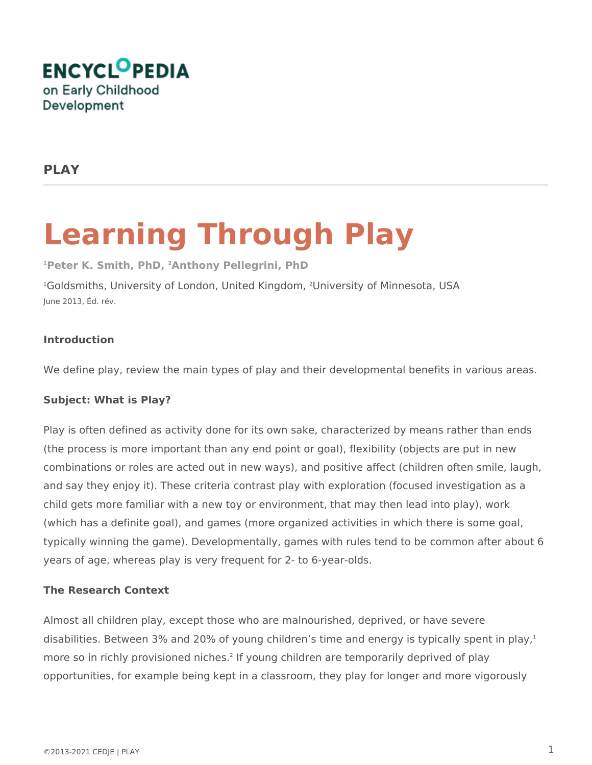

## **PLAY**

# **Learning Through Play**

**<sup>1</sup>Peter K. Smith, PhD, 2Anthony Pellegrini, PhD**

<sup>1</sup>Goldsmiths, University of London, United Kingdom, <sup>2</sup>University of Minnesota, USA June 2013, Éd. rév.

### **Introduction**

We define play, review the main types of play and their developmental benefits in various areas.

### **Subject: What is Play?**

Play is often defined as activity done for its own sake, characterized by means rather than ends (the process is more important than any end point or goal), flexibility (objects are put in new combinations or roles are acted out in new ways), and positive affect (children often smile, laugh, and say they enjoy it). These criteria contrast play with exploration (focused investigation as a child gets more familiar with a new toy or environment, that may then lead into play), work (which has a definite goal), and games (more organized activities in which there is some goal, typically winning the game). Developmentally, games with rules tend to be common after about 6 years of age, whereas play is very frequent for 2- to 6-year-olds.

### **The Research Context**

Almost all children play, except those who are malnourished, deprived, or have severe disabilities. Between 3% and 20% of young children's time and energy is typically spent in play, $1$ more so in richly provisioned niches.<sup>2</sup> If young children are temporarily deprived of play opportunities, for example being kept in a classroom, they play for longer and more vigorously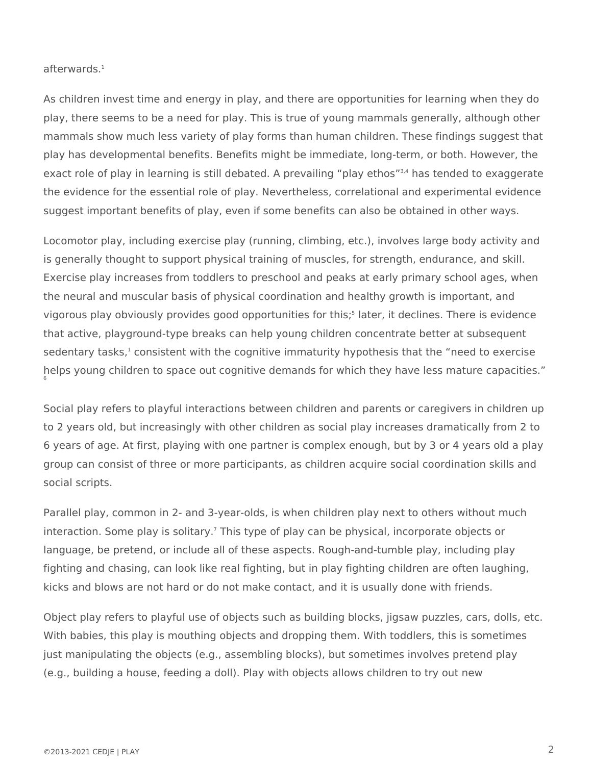afterwards.<sup>1</sup>

As children invest time and energy in play, and there are opportunities for learning when they do play, there seems to be a need for play. This is true of young mammals generally, although other mammals show much less variety of play forms than human children. These findings suggest that play has developmental benefits. Benefits might be immediate, long-term, or both. However, the exact role of play in learning is still debated. A prevailing "play ethos"<sup>3,4</sup> has tended to exaggerate the evidence for the essential role of play. Nevertheless, correlational and experimental evidence suggest important benefits of play, even if some benefits can also be obtained in other ways.

Locomotor play, including exercise play (running, climbing, etc.), involves large body activity and is generally thought to support physical training of muscles, for strength, endurance, and skill. Exercise play increases from toddlers to preschool and peaks at early primary school ages, when the neural and muscular basis of physical coordination and healthy growth is important, and vigorous play obviously provides good opportunities for this;<sup>5</sup> later, it declines. There is evidence that active, playground-type breaks can help young children concentrate better at subsequent sedentary tasks, $^1$  consistent with the cognitive immaturity hypothesis that the "need to exercise helps young children to space out cognitive demands for which they have less mature capacities." 6

Social play refers to playful interactions between children and parents or caregivers in children up to 2 years old, but increasingly with other children as social play increases dramatically from 2 to 6 years of age. At first, playing with one partner is complex enough, but by 3 or 4 years old a play group can consist of three or more participants, as children acquire social coordination skills and social scripts.

Parallel play, common in 2- and 3-year-olds, is when children play next to others without much interaction. Some play is solitary.<sup>7</sup> This type of play can be physical, incorporate objects or language, be pretend, or include all of these aspects. Rough-and-tumble play, including play fighting and chasing, can look like real fighting, but in play fighting children are often laughing, kicks and blows are not hard or do not make contact, and it is usually done with friends.

Object play refers to playful use of objects such as building blocks, jigsaw puzzles, cars, dolls, etc. With babies, this play is mouthing objects and dropping them. With toddlers, this is sometimes just manipulating the objects (e.g., assembling blocks), but sometimes involves pretend play (e.g., building a house, feeding a doll). Play with objects allows children to try out new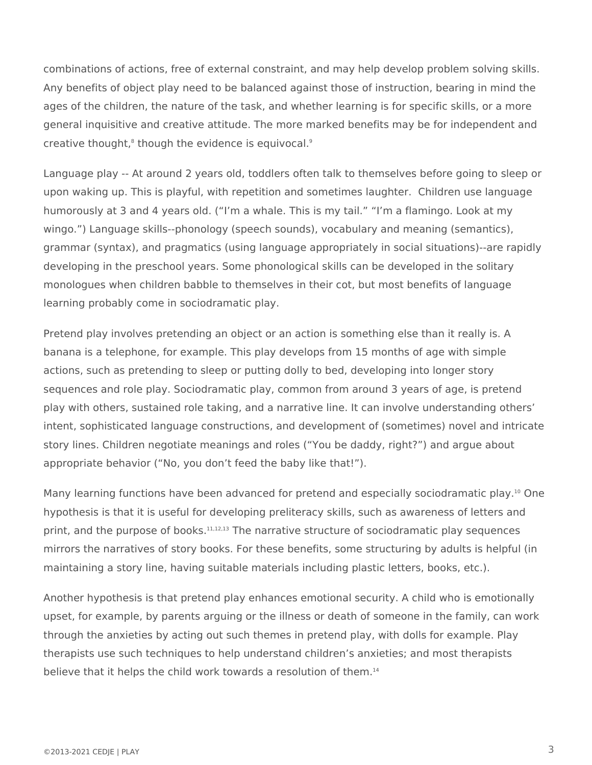combinations of actions, free of external constraint, and may help develop problem solving skills. Any benefits of object play need to be balanced against those of instruction, bearing in mind the ages of the children, the nature of the task, and whether learning is for specific skills, or a more general inquisitive and creative attitude. The more marked benefits may be for independent and creative thought,<sup>8</sup> though the evidence is equivocal.<sup>9</sup>

Language play -- At around 2 years old, toddlers often talk to themselves before going to sleep or upon waking up. This is playful, with repetition and sometimes laughter. Children use language humorously at 3 and 4 years old. ("I'm a whale. This is my tail." "I'm a flamingo. Look at my wingo.") Language skills--phonology (speech sounds), vocabulary and meaning (semantics), grammar (syntax), and pragmatics (using language appropriately in social situations)--are rapidly developing in the preschool years. Some phonological skills can be developed in the solitary monologues when children babble to themselves in their cot, but most benefits of language learning probably come in sociodramatic play.

Pretend play involves pretending an object or an action is something else than it really is. A banana is a telephone, for example. This play develops from 15 months of age with simple actions, such as pretending to sleep or putting dolly to bed, developing into longer story sequences and role play. Sociodramatic play, common from around 3 years of age, is pretend play with others, sustained role taking, and a narrative line. It can involve understanding others' intent, sophisticated language constructions, and development of (sometimes) novel and intricate story lines. Children negotiate meanings and roles ("You be daddy, right?") and argue about appropriate behavior ("No, you don't feed the baby like that!").

Many learning functions have been advanced for pretend and especially sociodramatic play.<sup>10</sup> One hypothesis is that it is useful for developing preliteracy skills, such as awareness of letters and print, and the purpose of books.<sup>11,12,13</sup> The narrative structure of sociodramatic play sequences mirrors the narratives of story books. For these benefits, some structuring by adults is helpful (in maintaining a story line, having suitable materials including plastic letters, books, etc.).

Another hypothesis is that pretend play enhances emotional security. A child who is emotionally upset, for example, by parents arguing or the illness or death of someone in the family, can work through the anxieties by acting out such themes in pretend play, with dolls for example. Play therapists use such techniques to help understand children's anxieties; and most therapists believe that it helps the child work towards a resolution of them.<sup>14</sup>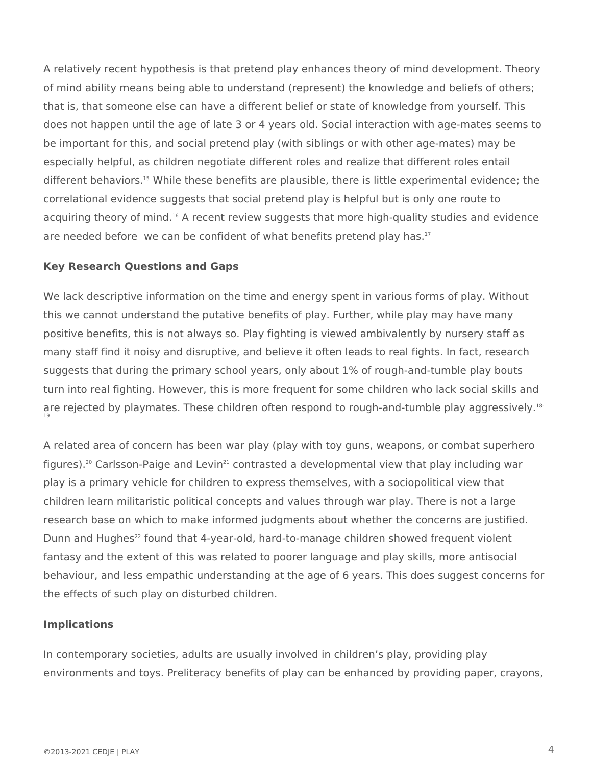A relatively recent hypothesis is that pretend play enhances theory of mind development. Theory of mind ability means being able to understand (represent) the knowledge and beliefs of others; that is, that someone else can have a different belief or state of knowledge from yourself. This does not happen until the age of late 3 or 4 years old. Social interaction with age-mates seems to be important for this, and social pretend play (with siblings or with other age-mates) may be especially helpful, as children negotiate different roles and realize that different roles entail different behaviors.<sup>15</sup> While these benefits are plausible, there is little experimental evidence; the correlational evidence suggests that social pretend play is helpful but is only one route to acquiring theory of mind.<sup>16</sup> A recent review suggests that more high-quality studies and evidence are needed before we can be confident of what benefits pretend play has. $17$ 

#### **Key Research Questions and Gaps**

We lack descriptive information on the time and energy spent in various forms of play. Without this we cannot understand the putative benefits of play. Further, while play may have many positive benefits, this is not always so. Play fighting is viewed ambivalently by nursery staff as many staff find it noisy and disruptive, and believe it often leads to real fights. In fact, research suggests that during the primary school years, only about 1% of rough-and-tumble play bouts turn into real fighting. However, this is more frequent for some children who lack social skills and are rejected by playmates. These children often respond to rough-and-tumble play aggressively.<sup>18-</sup><br>19

A related area of concern has been war play (play with toy guns, weapons, or combat superhero figures).<sup>20</sup> Carlsson-Paige and Levin<sup>21</sup> contrasted a developmental view that play including war play is a primary vehicle for children to express themselves, with a sociopolitical view that children learn militaristic political concepts and values through war play. There is not a large research base on which to make informed judgments about whether the concerns are justified. Dunn and Hughes<sup>22</sup> found that 4-year-old, hard-to-manage children showed frequent violent fantasy and the extent of this was related to poorer language and play skills, more antisocial behaviour, and less empathic understanding at the age of 6 years. This does suggest concerns for the effects of such play on disturbed children.

#### **Implications**

In contemporary societies, adults are usually involved in children's play, providing play environments and toys. Preliteracy benefits of play can be enhanced by providing paper, crayons,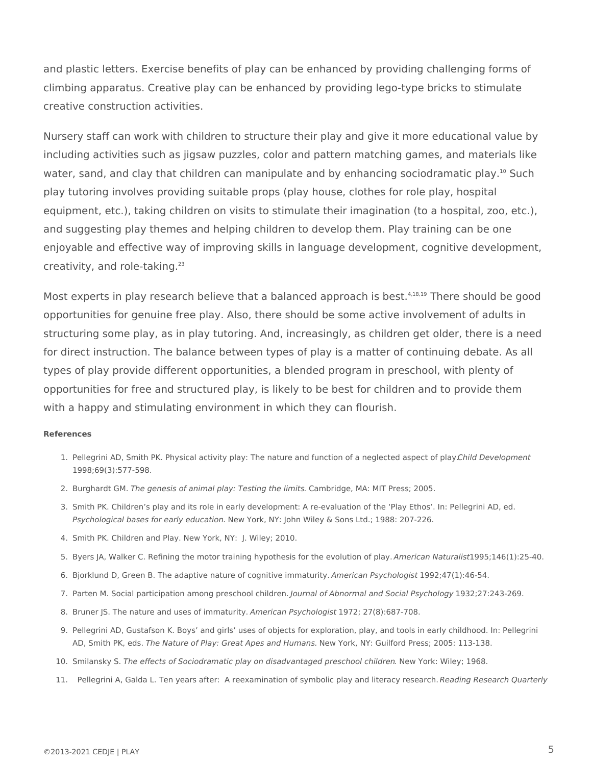and plastic letters. Exercise benefits of play can be enhanced by providing challenging forms of climbing apparatus. Creative play can be enhanced by providing lego-type bricks to stimulate creative construction activities.

Nursery staff can work with children to structure their play and give it more educational value by including activities such as jigsaw puzzles, color and pattern matching games, and materials like water, sand, and clay that children can manipulate and by enhancing sociodramatic play.<sup>10</sup> Such play tutoring involves providing suitable props (play house, clothes for role play, hospital equipment, etc.), taking children on visits to stimulate their imagination (to a hospital, zoo, etc.), and suggesting play themes and helping children to develop them. Play training can be one enjoyable and effective way of improving skills in language development, cognitive development, creativity, and role-taking.<sup>23</sup>

Most experts in play research believe that a balanced approach is best.<sup>4,18,19</sup> There should be good opportunities for genuine free play. Also, there should be some active involvement of adults in structuring some play, as in play tutoring. And, increasingly, as children get older, there is a need for direct instruction. The balance between types of play is a matter of continuing debate. As all types of play provide different opportunities, a blended program in preschool, with plenty of opportunities for free and structured play, is likely to be best for children and to provide them with a happy and stimulating environment in which they can flourish.

#### **References**

- 1. Pellegrini AD, Smith PK. Physical activity play: The nature and function of a neglected aspect of play. *Child Development* 1998;69(3):577-598.
- 2. Burghardt GM. *The genesis of animal play: Testing the limits*. Cambridge, MA: MIT Press; 2005.
- 3. Smith PK. Children's play and its role in early development: A re-evaluation of the 'Play Ethos'. In: Pellegrini AD, ed. *Psychological bases for early education.* New York, NY: John Wiley & Sons Ltd.; 1988: 207-226.
- 4. Smith PK. Children and Play. New York, NY: J. Wiley; 2010.
- 5. Byers JA, Walker C. Refining the motor training hypothesis for the evolution of play. *American Naturalist*1995;146(1):25-40.
- 6. Bjorklund D, Green B. The adaptive nature of cognitive immaturity. *American Psychologist* 1992;47(1):46-54.
- 7. Parten M. Social participation among preschool children. *Journal of Abnormal and Social Psychology* 1932;27:243-269.
- 8. Bruner JS. The nature and uses of immaturity. *American Psychologist* 1972; 27(8):687-708.
- 9. Pellegrini AD, Gustafson K. Boys' and girls' uses of objects for exploration, play, and tools in early childhood. In: Pellegrini AD, Smith PK, eds. *The Nature of Play: Great Apes and Humans.* New York, NY: Guilford Press; 2005: 113-138.
- 10. Smilansky S. *The effects of Sociodramatic play on disadvantaged preschool children.* New York: Wiley; 1968.
- 11. Pellegrini A, Galda L. Ten years after: A reexamination of symbolic play and literacy research. *Reading Research Quarterly*